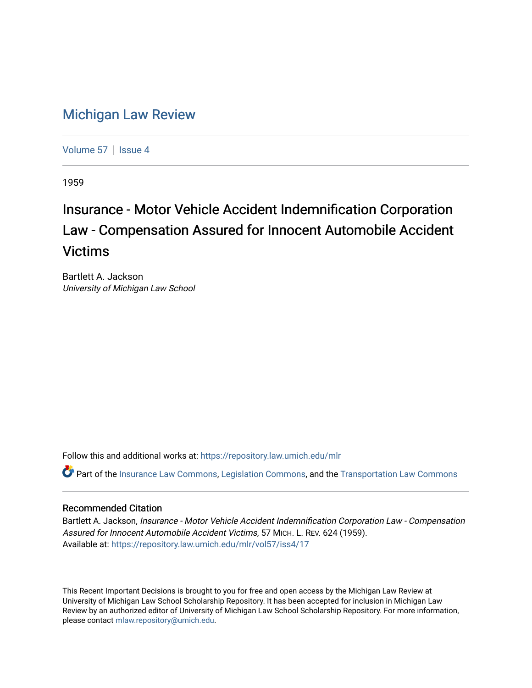## [Michigan Law Review](https://repository.law.umich.edu/mlr)

[Volume 57](https://repository.law.umich.edu/mlr/vol57) | [Issue 4](https://repository.law.umich.edu/mlr/vol57/iss4)

1959

## Insurance - Motor Vehicle Accident Indemnification Corporation Law - Compensation Assured for Innocent Automobile Accident Victims

Bartlett A. Jackson University of Michigan Law School

Follow this and additional works at: [https://repository.law.umich.edu/mlr](https://repository.law.umich.edu/mlr?utm_source=repository.law.umich.edu%2Fmlr%2Fvol57%2Fiss4%2F17&utm_medium=PDF&utm_campaign=PDFCoverPages) 

 $\bullet$  Part of the [Insurance Law Commons](http://network.bepress.com/hgg/discipline/607?utm_source=repository.law.umich.edu%2Fmlr%2Fvol57%2Fiss4%2F17&utm_medium=PDF&utm_campaign=PDFCoverPages), [Legislation Commons,](http://network.bepress.com/hgg/discipline/859?utm_source=repository.law.umich.edu%2Fmlr%2Fvol57%2Fiss4%2F17&utm_medium=PDF&utm_campaign=PDFCoverPages) and the Transportation Law Commons

## Recommended Citation

Bartlett A. Jackson, Insurance - Motor Vehicle Accident Indemnification Corporation Law - Compensation Assured for Innocent Automobile Accident Victims, 57 MICH. L. REV. 624 (1959). Available at: [https://repository.law.umich.edu/mlr/vol57/iss4/17](https://repository.law.umich.edu/mlr/vol57/iss4/17?utm_source=repository.law.umich.edu%2Fmlr%2Fvol57%2Fiss4%2F17&utm_medium=PDF&utm_campaign=PDFCoverPages) 

This Recent Important Decisions is brought to you for free and open access by the Michigan Law Review at University of Michigan Law School Scholarship Repository. It has been accepted for inclusion in Michigan Law Review by an authorized editor of University of Michigan Law School Scholarship Repository. For more information, please contact [mlaw.repository@umich.edu.](mailto:mlaw.repository@umich.edu)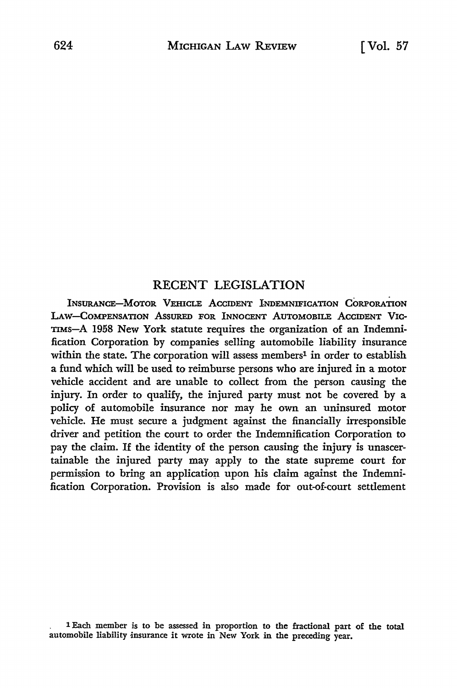## RECENT LEGISLATION

INSURANCE-MOTOR VEHICLE ACCIDENT INDEMNIFICATION CORPORATION LAW-COMPENSATION AssURED FOR INNOCENT AUTOMOBILE ACCIDENT VIC-TIMS-A 1958 New York statute requires the organization of an Indemnification Corporation by companies selling automobile liability insurance within the state. The corporation will assess members<sup>1</sup> in order to establish a fund which will be used to reimburse persons who are injured in a motor vehicle accident and are unable to collect from the person causing the injury. In order to qualify, the injured party must not be covered by a policy of automobile insurance nor may he own an uninsured motor vehicle. He must secure a judgment against the financially irresponsible driver and petition the court to order the Indemnification Corporation to pay the claim. If the identity of the person causing the injury is unascertainable the injured party may apply to the state supreme court for permission to bring an application upon his claim against the Indemnification Corporation. Provision is also made for out-of-court settlement

<sup>1</sup> Each member is to be assessed in proportion to the fractional part of the total automobile liability insurance it wrote in New York in the preceding year.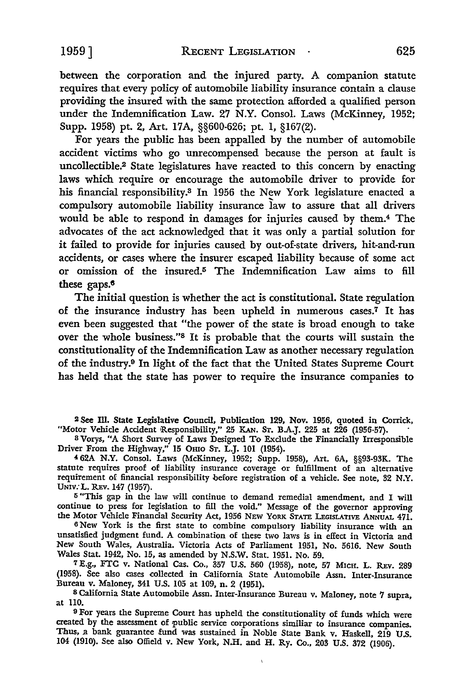between the corporation and the injured party. A companion statute requires that every policy of automobile liability insurance contain a clause

providing the insured with the same protection afforded a qualified person under the Indemnification Law. 27 N.Y. Consol. Laws (McKinney, 1952; Supp. 1958) pt. 2, Art. 17A, §§600-626; pt. 1, §167(2).

For years the public has been appalled by the number of automobile accident victims who go unrecompensed because the person at fault is uncollectible.2 State legislatures have reacted to this concern by enacting laws which require or encourage the automobile driver to provide for his financial responsibility.3 In 1956 the New York legislature enacted a compulsory automobile liability insurance law to assure that all drivers would be able to respond in damages for injuries caused by them.4 The advocates of the act acknowledged that it was only a partial solution for it failed to provide for injuries caused by out-of-state drivers, hit-and-run accidents, or cases where the insurer escaped liability because of some act or omission of the insured.5 The Indemnification Law aims to fill these **gaps.s** 

The initial question is whether the act is constitutional. State regulation of the insurance industry has been upheld in numerous cases.7 It has even been suggested that "the power of the state is broad enough to take over the whole business."8 It is probable that the courts will sustain the constitutionality of the Indemnification Law as another necessary regulation of the industry.9 In light of the fact that the United States Supreme Court has held that the state has power to require the insurance companies to

**<sup>2</sup>See** m. **State** Legislative Council, Publication 129, Nov. 1956, quoted in Corrick, "Motor Vehicle Accident Responsibility," 25 KAN. Sr. B.A.J. 225 at 226 (1956-57).

<sup>8</sup>Vorys, "A Short Survey of Laws Designed To Exclude the Financially Irresponsible Driver From the Highway," 15 Omo ST. L.J. 101 (1954).

**4** 62A N.Y. Consol. Laws (McKinney, 1952; Supp. 1958), Art. 6A, §§93-93K. The statute requires proof of liability insurance coverage or fulfillment of an alternative requirement of financial responsibility before registration of a vehicle. See note, 32 N.Y. UNIV:L. REv.147 (1957).

<sup>5</sup>"This gap in the law will continue to demand remedial amendment, and I will continue to press for legislation to fill the void." Message of the governor approving the Motor Vehicle Financial Security Act, 1956 NEW YoRK STATE LEGISLATIVE ANNUAL 471.

<sup>6</sup>New York is the first state to combine compulsory liability insurance with an unsatisfied judgment fund. A combination of these two laws is in effect in Victoria and New South Wales, Australia. Victoria Acts of Parliament 1951, No. 5616. New South Wales Stat. 1942, No. 15, as amended by N.S.W. Stat. 1951. No. 59.

7 E.g., FTC v. National Cas. Co., 357 U.S. 560 (1958), note, 57 MICH. L. REv. 289 (1958). See also cases collected in California State Automobile Assn. Inter-Insurance Bureau v. Maloney, 341 U.S. 105 at 109, n. 2 (1951).

<sup>8</sup>California State Automobile Assn. Inter-Insurance Bureau v. Maloney, note 7 supra, at 110.

9 For years the Supreme Court bas upheld the constitutionality of funds which were created by the assessment of public service corporations similiar to insurance companies. Thus, a bank guarantee fund was sustained in Noble State Bank v. Haskell, 219 U.S. 104 (1910). See also Offield v. New York, N.H. and H. Ry. Co., 203 U.S. 372 (1906).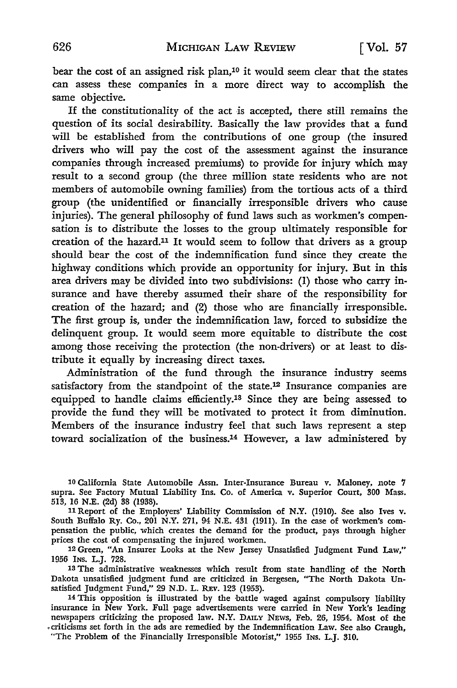bear the cost of an assigned risk plan,10 it would seem clear that the states can assess these companies in a more direct way to accomplish the same objective.

If the constitutionality of the act is accepted, there still remains the question of its social desirability. Basically the law provides that a fund will be established from the contributions of one group (the insured drivers who will pay the cost of the assessment against the insurance companies through increased premiums) to provide for injury which may result to a second group (the three million state residents who are not members of automobile owning families) from the tortious acts of a third group (the unidentified or financially irresponsible drivers who cause injuries). The general philosophy of fund laws such as workmen's compensation is to distribute the losses to the group ultimately responsible for creation of the hazard.11 It would seem to follow that drivers as a group should bear the cost of the indemnification fund since they create the highway conditions which provide an opportunity for injury. But in this area drivers may be divided into two subdivisions: (1) those who carry insurance and have thereby assumed their share of the responsibility for creation of the hazard; and (2) those who are financially irresponsible. The first group is, under the indemnification law, forced to subsidize the delinquent group. It would seem more equitable to distribute the cost among those receiving the protection (the non-drivers) or at least to distribute it equally by increasing direct taxes.

Administration of the fund through the insurance industry seems satisfactory from the standpoint of the state.12 Insurance companies are equipped to handle claims efficiently.13 Since they are being assessed to provide the fund they will be motivated to protect it from diminution. Members of the insurance industry feel that such laws represent a step toward socialization of the business.14 However, a law administered by

13 The administrative weaknesses which result from state handling of the North Dakota unsatisfied judgment fund are criticized in Bergesen, "The North Dakota Unsatisfied Judgment Fund," 29 N.D. L. REv. 123 (1953).

14 This opposition is illustrated by the battle waged against compulsory liability insurance in New York. Full page advertisements were carried in New York's leading newspapers criticizing the proposed law. N.Y. DAILY NEWS, Feb. 26, 1954. Most of the .criticisms set forth in the ads are remedied by the Indemnification Law. See also Craugh, "The Problem of the Financially Irresponsible Motorist," 1955 INs. L.J. 310.

<sup>10</sup> California State Automobile Assn. Inter-Insurance Bureau v. Maloney, note 7 supra. See Factory Mutual Liability Ins. Co. of America v. Superior Court, 300 Mass. 513, 16 N.E. (2d) 38 (1938).

<sup>11</sup> Report of the Employers' Liability Commission of N.Y. (1910). See also Ives v. South Buffalo Ry. Co., 201 N.Y. 271, 94 N.E. 431 (19ll). In the case of workmen's compensation the public, which creates the demand for the product, pays through higher prices the cost of compensating the injured workmen.

<sup>12</sup> Green, "An Insurer Looks at the New Jersey Unsatisfied Judgment Fund Law," 1956 INS. L.J. 728.